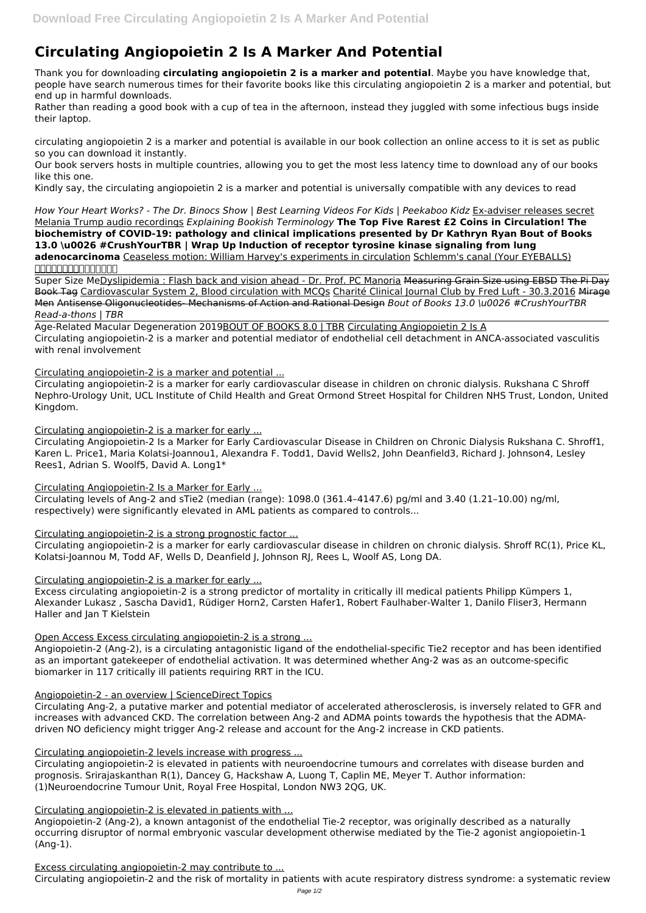# **Circulating Angiopoietin 2 Is A Marker And Potential**

Thank you for downloading **circulating angiopoietin 2 is a marker and potential**. Maybe you have knowledge that, people have search numerous times for their favorite books like this circulating angiopoietin 2 is a marker and potential, but end up in harmful downloads.

Rather than reading a good book with a cup of tea in the afternoon, instead they juggled with some infectious bugs inside their laptop.

circulating angiopoietin 2 is a marker and potential is available in our book collection an online access to it is set as public so you can download it instantly.

Our book servers hosts in multiple countries, allowing you to get the most less latency time to download any of our books like this one.

Kindly say, the circulating angiopoietin 2 is a marker and potential is universally compatible with any devices to read

*How Your Heart Works? - The Dr. Binocs Show | Best Learning Videos For Kids | Peekaboo Kidz* Ex-adviser releases secret Melania Trump audio recordings *Explaining Bookish Terminology* **The Top Five Rarest £2 Coins in Circulation! The biochemistry of COVID-19: pathology and clinical implications presented by Dr Kathryn Ryan Bout of Books 13.0 \u0026 #CrushYourTBR | Wrap Up Induction of receptor tyrosine kinase signaling from lung**

**adenocarcinoma** Ceaseless motion: William Harvey's experiments in circulation Schlemm's canal (Your EYEBALLS) ️️✅

Super Size MeDyslipidemia : Flash back and vision ahead - Dr. Prof. PC Manoria Measuring Grain Size using EBSD The Pi Day Book Tag Cardiovascular System 2, Blood circulation with MCQs Charité Clinical Journal Club by Fred Luft - 30.3.2016 Mirage Men Antisense Oligonucleotides- Mechanisms of Action and Rational Design *Bout of Books 13.0 \u0026 #CrushYourTBR Read-a-thons | TBR*

Age-Related Macular Degeneration 2019BOUT OF BOOKS 8.0 | TBR Circulating Angiopoietin 2 Is A Circulating angiopoietin-2 is a marker and potential mediator of endothelial cell detachment in ANCA-associated vasculitis with renal involvement

Circulating angiopoietin-2 is a marker and potential ...

Circulating angiopoietin-2 is a marker for early cardiovascular disease in children on chronic dialysis. Rukshana C Shroff Nephro-Urology Unit, UCL Institute of Child Health and Great Ormond Street Hospital for Children NHS Trust, London, United Kingdom.

Circulating angiopoietin-2 is a marker for early ...

Circulating Angiopoietin-2 Is a Marker for Early Cardiovascular Disease in Children on Chronic Dialysis Rukshana C. Shroff1, Karen L. Price1, Maria Kolatsi-Joannou1, Alexandra F. Todd1, David Wells2, John Deanfield3, Richard J. Johnson4, Lesley Rees1, Adrian S. Woolf5, David A. Long1\*

Circulating Angiopoietin-2 Is a Marker for Early ...

Circulating levels of Ang-2 and sTie2 (median (range): 1098.0 (361.4–4147.6) pg/ml and 3.40 (1.21–10.00) ng/ml, respectively) were significantly elevated in AML patients as compared to controls...

Circulating angiopoietin-2 is a strong prognostic factor ...

Circulating angiopoietin-2 is a marker for early cardiovascular disease in children on chronic dialysis. Shroff RC(1), Price KL, Kolatsi-Joannou M, Todd AF, Wells D, Deanfield J, Johnson RJ, Rees L, Woolf AS, Long DA.

Circulating angiopoietin-2 is a marker for early ...

Excess circulating angiopoietin-2 is a strong predictor of mortality in critically ill medical patients Philipp Kümpers 1, Alexander Lukasz , Sascha David1, Rüdiger Horn2, Carsten Hafer1, Robert Faulhaber-Walter 1, Danilo Fliser3, Hermann Haller and Jan T Kielstein

Open Access Excess circulating angiopoietin-2 is a strong ...

Angiopoietin-2 (Ang-2), is a circulating antagonistic ligand of the endothelial-specific Tie2 receptor and has been identified as an important gatekeeper of endothelial activation. It was determined whether Ang-2 was as an outcome-specific biomarker in 117 critically ill patients requiring RRT in the ICU.

#### Angiopoietin-2 - an overview | ScienceDirect Topics

Circulating Ang-2, a putative marker and potential mediator of accelerated atherosclerosis, is inversely related to GFR and increases with advanced CKD. The correlation between Ang-2 and ADMA points towards the hypothesis that the ADMAdriven NO deficiency might trigger Ang-2 release and account for the Ang-2 increase in CKD patients.

#### Circulating angiopoietin-2 levels increase with progress ...

Circulating angiopoietin-2 is elevated in patients with neuroendocrine tumours and correlates with disease burden and prognosis. Srirajaskanthan R(1), Dancey G, Hackshaw A, Luong T, Caplin ME, Meyer T. Author information: (1)Neuroendocrine Tumour Unit, Royal Free Hospital, London NW3 2QG, UK.

#### Circulating angiopoietin-2 is elevated in patients with ...

Angiopoietin-2 (Ang-2), a known antagonist of the endothelial Tie-2 receptor, was originally described as a naturally occurring disruptor of normal embryonic vascular development otherwise mediated by the Tie-2 agonist angiopoietin-1 (Ang-1).

#### Excess circulating angiopoietin-2 may contribute to ...

Circulating angiopoietin-2 and the risk of mortality in patients with acute respiratory distress syndrome: a systematic review